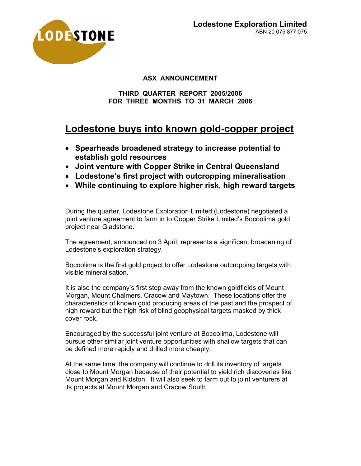

## **ASX ANNOUNCEMENT**

#### **THIRD QUARTER REPORT 2005/2006 FOR THREE MONTHS TO 31 MARCH 2006**

# **Lodestone buys into known gold-copper project**

- **Spearheads broadened strategy to increase potential to establish gold resources**
- **Joint venture with Copper Strike in Central Queensland**
- **Lodestone's first project with outcropping mineralisation**
- **While continuing to explore higher risk, high reward targets**

During the quarter, Lodestone Exploration Limited (Lodestone) negotiated a joint venture agreement to farm in to Copper Strike Limited's Bocoolima gold project near Gladstone.

The agreement, announced on 3 April, represents a significant broadening of Lodestone's exploration strategy.

Bocoolima is the first gold project to offer Lodestone outcropping targets with visible mineralisation.

It is also the company's first step away from the known goldfields of Mount Morgan, Mount Chalmers, Cracow and Maytown. These locations offer the characteristics of known gold producing areas of the past and the prospect of high reward but the high risk of blind geophysical targets masked by thick cover rock.

Encouraged by the successful joint venture at Bocoolima, Lodestone will pursue other similar joint venture opportunities with shallow targets that can be defined more rapidly and drilled more cheaply.

At the same time, the company will continue to drill its inventory of targets close to Mount Morgan because of their potential to yield rich discoveries like Mount Morgan and Kidston. It will also seek to farm out to joint venturers at its projects at Mount Morgan and Cracow South.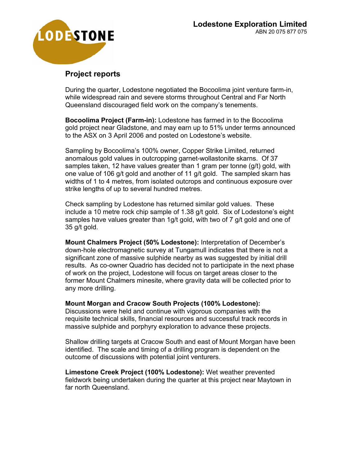

## **Project reports**

During the quarter, Lodestone negotiated the Bocoolima joint venture farm-in, while widespread rain and severe storms throughout Central and Far North Queensland discouraged field work on the company's tenements.

**Bocoolima Project (Farm-in):** Lodestone has farmed in to the Bocoolima gold project near Gladstone, and may earn up to 51% under terms announced to the ASX on 3 April 2006 and posted on Lodestone's website.

Sampling by Bocoolima's 100% owner, Copper Strike Limited, returned anomalous gold values in outcropping garnet-wollastonite skarns. Of 37 samples taken, 12 have values greater than 1 gram per tonne (g/t) gold, with one value of 106 g/t gold and another of 11 g/t gold. The sampled skarn has widths of 1 to 4 metres, from isolated outcrops and continuous exposure over strike lengths of up to several hundred metres.

Check sampling by Lodestone has returned similar gold values. These include a 10 metre rock chip sample of 1.38 g/t gold. Six of Lodestone's eight samples have values greater than 1g/t gold, with two of 7 g/t gold and one of 35 g/t gold.

**Mount Chalmers Project (50% Lodestone):** Interpretation of December's down-hole electromagnetic survey at Tungamull indicates that there is not a significant zone of massive sulphide nearby as was suggested by initial drill results. As co-owner Quadrio has decided not to participate in the next phase of work on the project, Lodestone will focus on target areas closer to the former Mount Chalmers minesite, where gravity data will be collected prior to any more drilling.

**Mount Morgan and Cracow South Projects (100% Lodestone):**  Discussions were held and continue with vigorous companies with the requisite technical skills, financial resources and successful track records in

massive sulphide and porphyry exploration to advance these projects.

Shallow drilling targets at Cracow South and east of Mount Morgan have been identified. The scale and timing of a drilling program is dependent on the outcome of discussions with potential joint venturers.

**Limestone Creek Project (100% Lodestone):** Wet weather prevented fieldwork being undertaken during the quarter at this project near Maytown in far north Queensland.